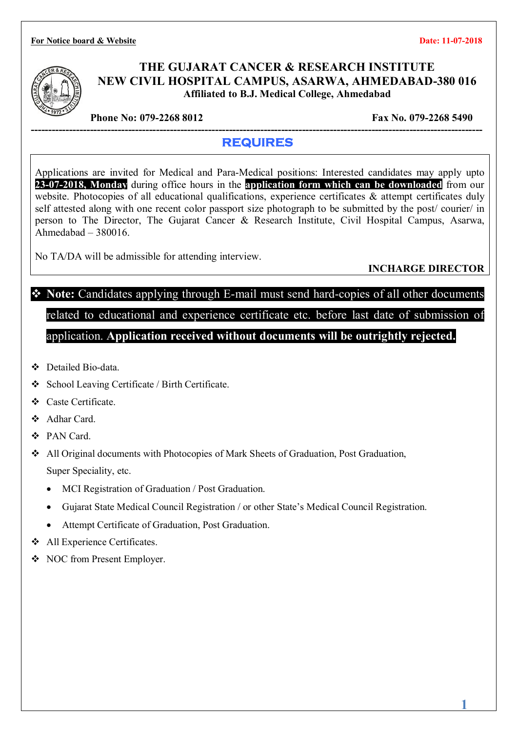**For Notice board & Website Date: 11-07-2018** 



#### **THE GUJARAT CANCER & RESEARCH INSTITUTE NEW CIVIL HOSPITAL CAMPUS, ASARWA, AHMEDABAD-380 016 Affiliated to B.J. Medical College, Ahmedabad**

**Phone No: 079-2268 8012** Fax No. 079-2268 5490

#### **---------------------------------------------------------------------------------------------------------------------------------- REQUIRES**

Applications are invited for Medical and Para-Medical positions: Interested candidates may apply upto **23-07-2018, Monday** during office hours in the **application form which can be downloaded** from our website. Photocopies of all educational qualifications, experience certificates & attempt certificates duly self attested along with one recent color passport size photograph to be submitted by the post/ courier/ in person to The Director, The Gujarat Cancer & Research Institute, Civil Hospital Campus, Asarwa, Ahmedabad – 380016.

No TA/DA will be admissible for attending interview.

**INCHARGE DIRECTOR**

## **Note:** Candidates applying through E-mail must send hard-copies of all other documents related to educational and experience certificate etc. before last date of submission of application. **Application received without documents will be outrightly rejected.**

- Detailed Bio-data.
- School Leaving Certificate / Birth Certificate.
- Caste Certificate.
- Adhar Card.
- PAN Card.
- All Original documents with Photocopies of Mark Sheets of Graduation, Post Graduation, Super Speciality, etc.
	- MCI Registration of Graduation / Post Graduation.
	- Gujarat State Medical Council Registration / or other State's Medical Council Registration.
	- Attempt Certificate of Graduation, Post Graduation.
- All Experience Certificates.
- NOC from Present Employer.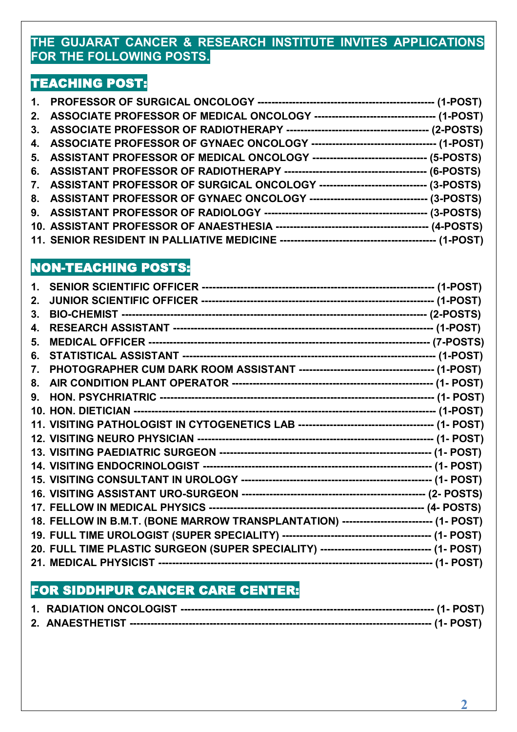#### **THE GUJARAT CANCER & RESEARCH INSTITUTE INVITES APPLICATIONS FOR THE FOLLOWING POSTS.**

### **TEACHING POST:**

| 5. ASSISTANT PROFESSOR OF MEDICAL ONCOLOGY --------------------------------- (5-POSTS) |  |
|----------------------------------------------------------------------------------------|--|
|                                                                                        |  |
| 7. ASSISTANT PROFESSOR OF SURGICAL ONCOLOGY -------------------------------- (3-POSTS) |  |
| 8. ASSISTANT PROFESSOR OF GYNAEC ONCOLOGY ---------------------------------- (3-POSTS) |  |
|                                                                                        |  |
|                                                                                        |  |
|                                                                                        |  |

### **NON-TEACHING POSTS:**

| 2. |                                                                                            |  |
|----|--------------------------------------------------------------------------------------------|--|
| 3. |                                                                                            |  |
| 4. |                                                                                            |  |
| 5. |                                                                                            |  |
| 6. |                                                                                            |  |
| 7. |                                                                                            |  |
| 8. |                                                                                            |  |
| 9. |                                                                                            |  |
|    |                                                                                            |  |
|    |                                                                                            |  |
|    |                                                                                            |  |
|    |                                                                                            |  |
|    |                                                                                            |  |
|    |                                                                                            |  |
|    |                                                                                            |  |
|    |                                                                                            |  |
|    | 18. FELLOW IN B.M.T. (BONE MARROW TRANSPLANTATION) ------------------------- (1- POST)     |  |
|    |                                                                                            |  |
|    | 20. FULL TIME PLASTIC SURGEON (SUPER SPECIALITY) ------------------------------- (1- POST) |  |
|    |                                                                                            |  |

## **FOR SIDDHPUR CANCER CARE CENTER:**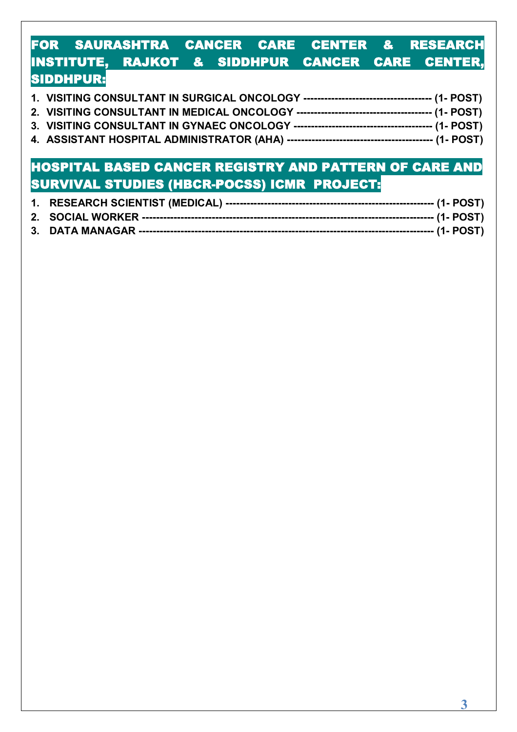### **FOR SAURASHTRA CANCER CARE CENTER & RESEARCH INSTITUTE, RAJKOT & SIDDHPUR CANCER CARE CENTER, SIDDHPUR:**

- **3. VISITING CONSULTANT IN GYNAEC ONCOLOGY ---------------------------------------- (1- POST)**
- **4. ASSISTANT HOSPITAL ADMINISTRATOR (AHA) ------------------------------------------ (1- POST)**

## **HOSPITAL BASED CANCER REGISTRY AND PATTERN OF CARE AND SURVIVAL STUDIES (HBCR-POCSS) ICMR PROJECT:**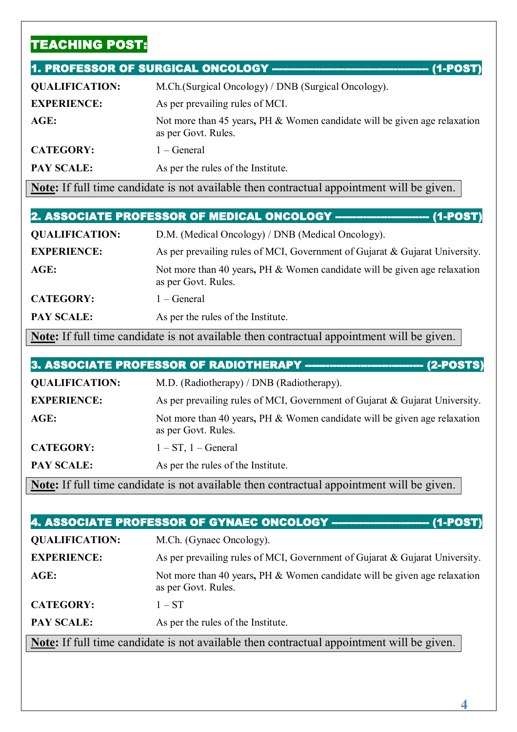## **TEACHING POST:**

|                       | 1. PROFESSOR OF SURGICAL ONCOLOGY ------------------------------<br>$(1-POST)$                   |
|-----------------------|--------------------------------------------------------------------------------------------------|
| <b>QUALIFICATION:</b> | M.Ch. (Surgical Oncology) / DNB (Surgical Oncology).                                             |
| <b>EXPERIENCE:</b>    | As per prevailing rules of MCI.                                                                  |
| $AGE$ :               | Not more than 45 years, PH & Women candidate will be given age relaxation<br>as per Govt. Rules. |
| <b>CATEGORY:</b>      | $1 - General$                                                                                    |
| <b>PAY SCALE:</b>     | As per the rules of the Institute.                                                               |

**Note:** If full time candidate is not available then contractual appointment will be given.

| <b>QUALIFICATION:</b> | D.M. (Medical Oncology) / DNB (Medical Oncology).                                                |
|-----------------------|--------------------------------------------------------------------------------------------------|
| <b>EXPERIENCE:</b>    | As per prevailing rules of MCI, Government of Gujarat & Gujarat University.                      |
| $AGE$ :               | Not more than 40 years, PH & Women candidate will be given age relaxation<br>as per Govt. Rules. |
| <b>CATEGORY:</b>      | $1 - General$                                                                                    |
| <b>PAY SCALE:</b>     | As per the rules of the Institute.                                                               |

**Note:** If full time candidate is not available then contractual appointment will be given.

| 3. ASSOCIATE PROFESSOR OF RADIOTHERAPY ----------------------------- (2-POSTS)                   |                                                                                                  |  |
|--------------------------------------------------------------------------------------------------|--------------------------------------------------------------------------------------------------|--|
| <b>QUALIFICATION:</b>                                                                            | M.D. (Radiotherapy) / DNB (Radiotherapy).                                                        |  |
| <b>EXPERIENCE:</b>                                                                               | As per prevailing rules of MCI, Government of Gujarat & Gujarat University.                      |  |
| $AGE$ :                                                                                          | Not more than 40 years, PH & Women candidate will be given age relaxation<br>as per Govt. Rules. |  |
| <b>CATEGORY:</b>                                                                                 | $1 - ST$ , $1 - General$                                                                         |  |
| <b>PAY SCALE:</b>                                                                                | As per the rules of the Institute.                                                               |  |
| <b>Note:</b> If full time candidate is not available then contractual appointment will be given. |                                                                                                  |  |

| 4. ASSOCIATE PROFESSOR OF GYNAEC ONCOLOGY ----------------------<br>$(1-POST)$ |                                                                                                  |  |
|--------------------------------------------------------------------------------|--------------------------------------------------------------------------------------------------|--|
| <b>QUALIFICATION:</b>                                                          | M.Ch. (Gynaec Oncology).                                                                         |  |
| <b>EXPERIENCE:</b>                                                             | As per prevailing rules of MCI, Government of Gujarat & Gujarat University.                      |  |
| AGE:                                                                           | Not more than 40 years, PH & Women candidate will be given age relaxation<br>as per Govt. Rules. |  |
| <b>CATEGORY:</b>                                                               | $1 - ST$                                                                                         |  |
| <b>PAY SCALE:</b>                                                              | As per the rules of the Institute.                                                               |  |

**Note:** If full time candidate is not available then contractual appointment will be given.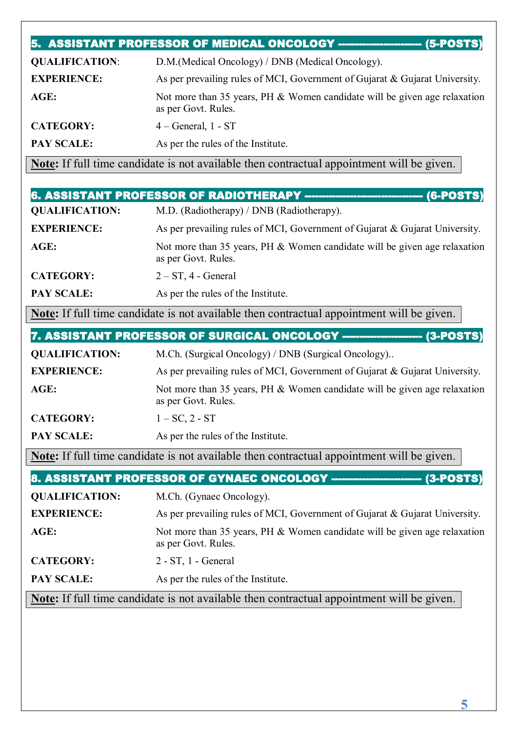|                       | 5. ASSISTANT PROFESSOR OF MEDICAL ONCOLOGY ---------------------<br>$(5$ -POSTS)                 |
|-----------------------|--------------------------------------------------------------------------------------------------|
| <b>QUALIFICATION:</b> | D.M. (Medical Oncology) / DNB (Medical Oncology).                                                |
| <b>EXPERIENCE:</b>    | As per prevailing rules of MCI, Government of Gujarat & Gujarat University.                      |
| AGE:                  | Not more than 35 years, PH & Women candidate will be given age relaxation<br>as per Govt. Rules. |
| <b>CATEGORY:</b>      | $4 - General$ , 1 - ST                                                                           |
| <b>PAY SCALE:</b>     | As per the rules of the Institute.                                                               |

**Note:** If full time candidate is not available then contractual appointment will be given.

|                                                                            | 6. ASSISTANT PROFESSOR OF RADIOTHERAPY --------------------------------<br>$(6$ -POSTS)          |  |
|----------------------------------------------------------------------------|--------------------------------------------------------------------------------------------------|--|
| <b>QUALIFICATION:</b>                                                      | M.D. (Radiotherapy) / DNB (Radiotherapy).                                                        |  |
| <b>EXPERIENCE:</b>                                                         | As per prevailing rules of MCI, Government of Gujarat & Gujarat University.                      |  |
| $AGE$ :                                                                    | Not more than 35 years, PH & Women candidate will be given age relaxation<br>as per Govt. Rules. |  |
| <b>CATEGORY:</b>                                                           | $2 - ST$ , 4 - General                                                                           |  |
| <b>PAY SCALE:</b>                                                          | As per the rules of the Institute.                                                               |  |
|                                                                            | <b>Note:</b> If full time candidate is not available then contractual appointment will be given. |  |
| 7. ASSISTANT PROFESSOR OF SURGICAL ONCOLOGY -----------------<br>(3-POSTS) |                                                                                                  |  |

| <b>QUALIFICATION:</b> | M.Ch. (Surgical Oncology) / DNB (Surgical Oncology)                                              |
|-----------------------|--------------------------------------------------------------------------------------------------|
| <b>EXPERIENCE:</b>    | As per prevailing rules of MCI, Government of Gujarat & Gujarat University.                      |
| AGE:                  | Not more than 35 years, PH & Women candidate will be given age relaxation<br>as per Govt. Rules. |
| <b>CATEGORY:</b>      | $1 - SC$ , $2 - ST$                                                                              |
| <b>PAY SCALE:</b>     | As per the rules of the Institute.                                                               |

**Note:** If full time candidate is not available then contractual appointment will be given.

| 8. ASSISTANT PROFESSOR OF GYNAEC ONCOLOGY ------------------------<br><b>(3-POSTS)</b>           |                                                                                                  |
|--------------------------------------------------------------------------------------------------|--------------------------------------------------------------------------------------------------|
| <b>QUALIFICATION:</b>                                                                            | M.Ch. (Gynaec Oncology).                                                                         |
| <b>EXPERIENCE:</b>                                                                               | As per prevailing rules of MCI, Government of Gujarat & Gujarat University.                      |
| AGE:                                                                                             | Not more than 35 years, PH & Women candidate will be given age relaxation<br>as per Govt. Rules. |
| <b>CATEGORY:</b>                                                                                 | $2 - ST$ , 1 - General                                                                           |
| <b>PAY SCALE:</b>                                                                                | As per the rules of the Institute.                                                               |
| <b>Note:</b> If full time candidate is not available then contractual appointment will be given. |                                                                                                  |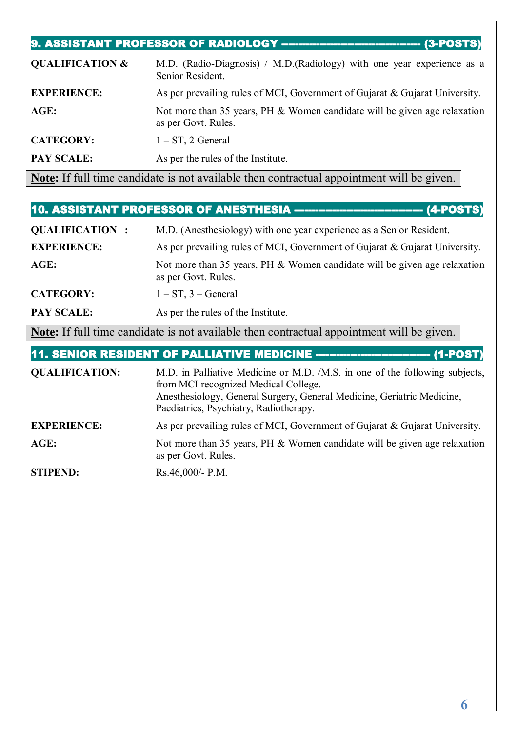| $(3-POSTS)$                |                                                                                                  |
|----------------------------|--------------------------------------------------------------------------------------------------|
| <b>QUALIFICATION &amp;</b> | M.D. (Radio-Diagnosis) / M.D. (Radiology) with one year experience as a<br>Senior Resident.      |
| <b>EXPERIENCE:</b>         | As per prevailing rules of MCI, Government of Gujarat & Gujarat University.                      |
| $AGE$ :                    | Not more than 35 years, PH & Women candidate will be given age relaxation<br>as per Govt. Rules. |
| <b>CATEGORY:</b>           | $1 - ST$ , 2 General                                                                             |
| <b>PAY SCALE:</b>          | As per the rules of the Institute.                                                               |

**Note:** If full time candidate is not available then contractual appointment will be given.

### **10. ASSISTANT PROFESSOR OF ANESTHESIA ------------------------------------- (4-POSTS)**

| <b>QUALIFICATION:</b> | M.D. (Anesthesiology) with one year experience as a Senior Resident.                             |
|-----------------------|--------------------------------------------------------------------------------------------------|
| <b>EXPERIENCE:</b>    | As per prevailing rules of MCI, Government of Gujarat & Gujarat University.                      |
| $AGE$ :               | Not more than 35 years, PH & Women candidate will be given age relaxation<br>as per Govt. Rules. |
| <b>CATEGORY:</b>      | $1 - ST$ , $3 - General$                                                                         |
| PAY SCALE:            | As per the rules of the Institute.                                                               |

**Note:** If full time candidate is not available then contractual appointment will be given.

**11. SENIOR RESIDENT OF PALLIATIVE MEDICINE --------------------------------- (1-POST)** 

| <b>QUALIFICATION:</b> | M.D. in Palliative Medicine or M.D. /M.S. in one of the following subjects,<br>from MCI recognized Medical College.<br>Anesthesiology, General Surgery, General Medicine, Geriatric Medicine,<br>Paediatrics, Psychiatry, Radiotherapy. |
|-----------------------|-----------------------------------------------------------------------------------------------------------------------------------------------------------------------------------------------------------------------------------------|
| <b>EXPERIENCE:</b>    | As per prevailing rules of MCI, Government of Gujarat & Gujarat University.                                                                                                                                                             |
| AGE:                  | Not more than 35 years, PH & Women candidate will be given age relaxation<br>as per Govt. Rules.                                                                                                                                        |
| <b>STIPEND:</b>       | $Rs.46,000/- P.M.$                                                                                                                                                                                                                      |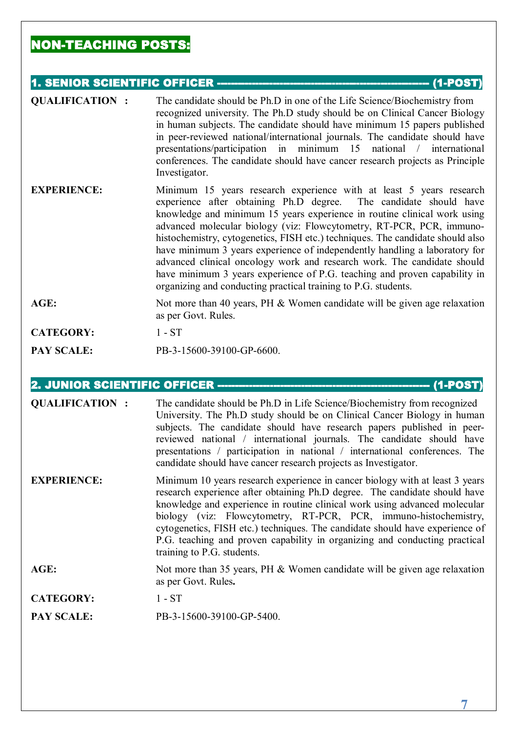### **NON-TEACHING POSTS:**

#### **1. SENIOR SCIENTIFIC OFFICER ------------------------------------------------------------- (1-POST)**

| <b>QUALIFICATION:</b> | The candidate should be Ph.D in one of the Life Science/Biochemistry from<br>recognized university. The Ph.D study should be on Clinical Cancer Biology<br>in human subjects. The candidate should have minimum 15 papers published<br>in peer-reviewed national/international journals. The candidate should have<br>presentations/participation in minimum 15 national / international<br>conferences. The candidate should have cancer research projects as Principle<br>Investigator.                                                                                                                                                                                              |
|-----------------------|----------------------------------------------------------------------------------------------------------------------------------------------------------------------------------------------------------------------------------------------------------------------------------------------------------------------------------------------------------------------------------------------------------------------------------------------------------------------------------------------------------------------------------------------------------------------------------------------------------------------------------------------------------------------------------------|
| <b>EXPERIENCE:</b>    | Minimum 15 years research experience with at least 5 years research<br>experience after obtaining Ph.D degree. The candidate should have<br>knowledge and minimum 15 years experience in routine clinical work using<br>advanced molecular biology (viz: Flowcytometry, RT-PCR, PCR, immuno-<br>histochemistry, cytogenetics, FISH etc.) techniques. The candidate should also<br>have minimum 3 years experience of independently handling a laboratory for<br>advanced clinical oncology work and research work. The candidate should<br>have minimum 3 years experience of P.G. teaching and proven capability in<br>organizing and conducting practical training to P.G. students. |
| AGE:                  | Not more than 40 years, PH $&$ Women candidate will be given age relaxation<br>as per Govt. Rules.                                                                                                                                                                                                                                                                                                                                                                                                                                                                                                                                                                                     |
| <b>CATEGORY:</b>      | $1 - ST$                                                                                                                                                                                                                                                                                                                                                                                                                                                                                                                                                                                                                                                                               |
| PAY SCALE:            | PB-3-15600-39100-GP-6600.                                                                                                                                                                                                                                                                                                                                                                                                                                                                                                                                                                                                                                                              |

#### **2. JUNIOR SCIENTIFIC OFFICER ------------------------------------------------------------- (1-POST)**

| <b>QUALIFICATION:</b> | The candidate should be Ph.D in Life Science/Biochemistry from recognized<br>University. The Ph.D study should be on Clinical Cancer Biology in human<br>subjects. The candidate should have research papers published in peer-<br>reviewed national / international journals. The candidate should have<br>presentations / participation in national / international conferences. The<br>candidate should have cancer research projects as Investigator.                                                |
|-----------------------|----------------------------------------------------------------------------------------------------------------------------------------------------------------------------------------------------------------------------------------------------------------------------------------------------------------------------------------------------------------------------------------------------------------------------------------------------------------------------------------------------------|
| <b>EXPERIENCE:</b>    | Minimum 10 years research experience in cancer biology with at least 3 years<br>research experience after obtaining Ph.D degree. The candidate should have<br>knowledge and experience in routine clinical work using advanced molecular<br>biology (viz: Flowcytometry, RT-PCR, PCR, immuno-histochemistry,<br>cytogenetics, FISH etc.) techniques. The candidate should have experience of<br>P.G. teaching and proven capability in organizing and conducting practical<br>training to P.G. students. |
| AGE:                  | Not more than 35 years, PH & Women candidate will be given age relaxation<br>as per Govt. Rules.                                                                                                                                                                                                                                                                                                                                                                                                         |
| <b>CATEGORY:</b>      | $1 - ST$                                                                                                                                                                                                                                                                                                                                                                                                                                                                                                 |
| <b>PAY SCALE:</b>     | PB-3-15600-39100-GP-5400.                                                                                                                                                                                                                                                                                                                                                                                                                                                                                |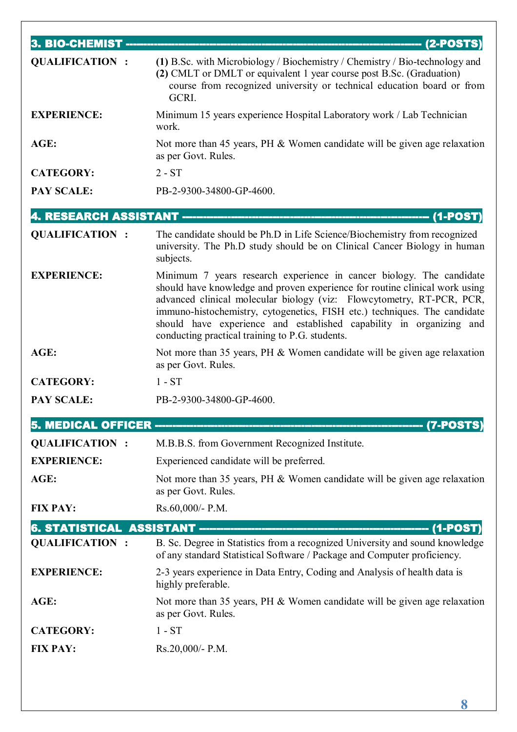| 3. BIO-CHEMIST ----      | <u>----- (2-POSTS)</u>                                                                                                                                                                                                                                                                                                                                                                                                              |
|--------------------------|-------------------------------------------------------------------------------------------------------------------------------------------------------------------------------------------------------------------------------------------------------------------------------------------------------------------------------------------------------------------------------------------------------------------------------------|
| <b>QUALIFICATION:</b>    | (1) B.Sc. with Microbiology / Biochemistry / Chemistry / Bio-technology and<br>(2) CMLT or DMLT or equivalent 1 year course post B.Sc. (Graduation)<br>course from recognized university or technical education board or from<br>GCRI.                                                                                                                                                                                              |
| <b>EXPERIENCE:</b>       | Minimum 15 years experience Hospital Laboratory work / Lab Technician<br>work.                                                                                                                                                                                                                                                                                                                                                      |
| AGE:                     | Not more than 45 years, PH & Women candidate will be given age relaxation<br>as per Govt. Rules.                                                                                                                                                                                                                                                                                                                                    |
| <b>CATEGORY:</b>         | $2 - ST$                                                                                                                                                                                                                                                                                                                                                                                                                            |
| <b>PAY SCALE:</b>        | PB-2-9300-34800-GP-4600.                                                                                                                                                                                                                                                                                                                                                                                                            |
| 4. RESEARCH ASSISTANT -- | - (1-POST)                                                                                                                                                                                                                                                                                                                                                                                                                          |
| <b>QUALIFICATION:</b>    | The candidate should be Ph.D in Life Science/Biochemistry from recognized<br>university. The Ph.D study should be on Clinical Cancer Biology in human<br>subjects.                                                                                                                                                                                                                                                                  |
| <b>EXPERIENCE:</b>       | Minimum 7 years research experience in cancer biology. The candidate<br>should have knowledge and proven experience for routine clinical work using<br>advanced clinical molecular biology (viz: Flowcytometry, RT-PCR, PCR,<br>immuno-histochemistry, cytogenetics, FISH etc.) techniques. The candidate<br>should have experience and established capability in organizing and<br>conducting practical training to P.G. students. |
| AGE:                     | Not more than 35 years, PH & Women candidate will be given age relaxation<br>as per Govt. Rules.                                                                                                                                                                                                                                                                                                                                    |
| <b>CATEGORY:</b>         | $1 - ST$                                                                                                                                                                                                                                                                                                                                                                                                                            |
| <b>PAY SCALE:</b>        | PB-2-9300-34800-GP-4600.                                                                                                                                                                                                                                                                                                                                                                                                            |
| 5. MEDICAL OFFICER ---   | (7-POSTS)                                                                                                                                                                                                                                                                                                                                                                                                                           |
| <b>QUALIFICATION:</b>    | M.B.B.S. from Government Recognized Institute.                                                                                                                                                                                                                                                                                                                                                                                      |
| <b>EXPERIENCE:</b>       | Experienced candidate will be preferred.                                                                                                                                                                                                                                                                                                                                                                                            |
| AGE:                     | Not more than 35 years, PH & Women candidate will be given age relaxation<br>as per Govt. Rules.                                                                                                                                                                                                                                                                                                                                    |
| <b>FIX PAY:</b>          | Rs.60,000/- P.M.                                                                                                                                                                                                                                                                                                                                                                                                                    |
|                          |                                                                                                                                                                                                                                                                                                                                                                                                                                     |
| <b>QUALIFICATION:</b>    | B. Sc. Degree in Statistics from a recognized University and sound knowledge<br>of any standard Statistical Software / Package and Computer proficiency.                                                                                                                                                                                                                                                                            |
| <b>EXPERIENCE:</b>       | 2-3 years experience in Data Entry, Coding and Analysis of health data is<br>highly preferable.                                                                                                                                                                                                                                                                                                                                     |
| AGE:                     | Not more than 35 years, PH & Women candidate will be given age relaxation<br>as per Govt. Rules.                                                                                                                                                                                                                                                                                                                                    |
| <b>CATEGORY:</b>         | $1 - ST$                                                                                                                                                                                                                                                                                                                                                                                                                            |
| <b>FIX PAY:</b>          | Rs.20,000/- P.M.                                                                                                                                                                                                                                                                                                                                                                                                                    |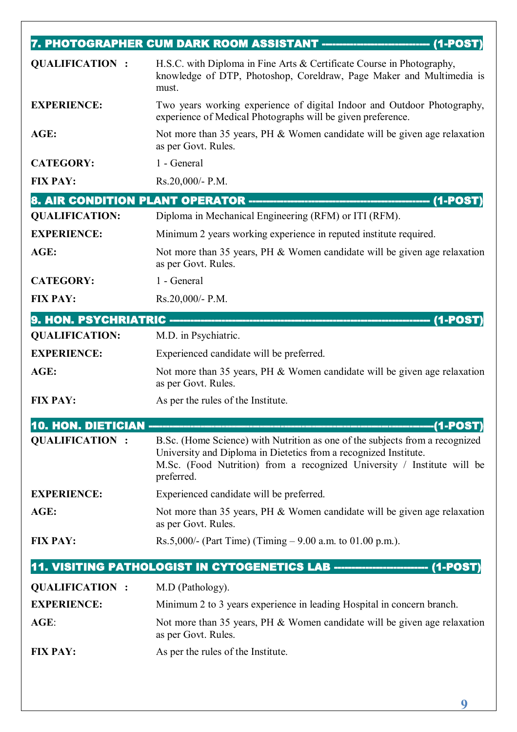|                                    | 7. PHOTOGRAPHER CUM DARK ROOM ASSISTANT ---------<br><b>(1-POST</b>                                                                                                                                                                       |
|------------------------------------|-------------------------------------------------------------------------------------------------------------------------------------------------------------------------------------------------------------------------------------------|
| <b>QUALIFICATION:</b>              | H.S.C. with Diploma in Fine Arts & Certificate Course in Photography,<br>knowledge of DTP, Photoshop, Coreldraw, Page Maker and Multimedia is<br>must.                                                                                    |
| <b>EXPERIENCE:</b>                 | Two years working experience of digital Indoor and Outdoor Photography,<br>experience of Medical Photographs will be given preference.                                                                                                    |
| AGE:                               | Not more than 35 years, PH & Women candidate will be given age relaxation<br>as per Govt. Rules.                                                                                                                                          |
| <b>CATEGORY:</b>                   | 1 - General                                                                                                                                                                                                                               |
| <b>FIX PAY:</b>                    | Rs.20,000/- P.M.                                                                                                                                                                                                                          |
|                                    |                                                                                                                                                                                                                                           |
| <b>QUALIFICATION:</b>              | Diploma in Mechanical Engineering (RFM) or ITI (RFM).                                                                                                                                                                                     |
| <b>EXPERIENCE:</b>                 | Minimum 2 years working experience in reputed institute required.                                                                                                                                                                         |
| AGE:                               | Not more than 35 years, PH & Women candidate will be given age relaxation<br>as per Govt. Rules.                                                                                                                                          |
| <b>CATEGORY:</b>                   | 1 - General                                                                                                                                                                                                                               |
| <b>FIX PAY:</b>                    | Rs.20,000/- P.M.                                                                                                                                                                                                                          |
| 9. HON. PSYCHRIATRIC ---------     | (1-POST)                                                                                                                                                                                                                                  |
| <b>QUALIFICATION:</b>              | M.D. in Psychiatric.                                                                                                                                                                                                                      |
| <b>EXPERIENCE:</b>                 | Experienced candidate will be preferred.                                                                                                                                                                                                  |
| AGE:                               | Not more than 35 years, PH & Women candidate will be given age relaxation<br>as per Govt. Rules.                                                                                                                                          |
| <b>FIX PAY:</b>                    | As per the rules of the Institute.                                                                                                                                                                                                        |
| <b>10. HON. DIETICIAN --------</b> |                                                                                                                                                                                                                                           |
| <b>QUALIFICATION:</b>              | B.Sc. (Home Science) with Nutrition as one of the subjects from a recognized<br>University and Diploma in Dietetics from a recognized Institute.<br>M.Sc. (Food Nutrition) from a recognized University / Institute will be<br>preferred. |
| <b>EXPERIENCE:</b>                 | Experienced candidate will be preferred.                                                                                                                                                                                                  |
| AGE:                               | Not more than 35 years, PH & Women candidate will be given age relaxation<br>as per Govt. Rules.                                                                                                                                          |
| <b>FIX PAY:</b>                    | Rs.5,000/- (Part Time) (Timing $-9.00$ a.m. to 01.00 p.m.).                                                                                                                                                                               |
|                                    | 11. VISITING PATHOLOGIST IN CYTOGENETICS LAB -------------------------- (1-POST)                                                                                                                                                          |
| <b>QUALIFICATION :</b>             | M.D (Pathology).                                                                                                                                                                                                                          |
| <b>EXPERIENCE:</b>                 | Minimum 2 to 3 years experience in leading Hospital in concern branch.                                                                                                                                                                    |
| $AGE$ :                            | Not more than 35 years, PH & Women candidate will be given age relaxation<br>as per Govt. Rules.                                                                                                                                          |
| <b>FIX PAY:</b>                    | As per the rules of the Institute.                                                                                                                                                                                                        |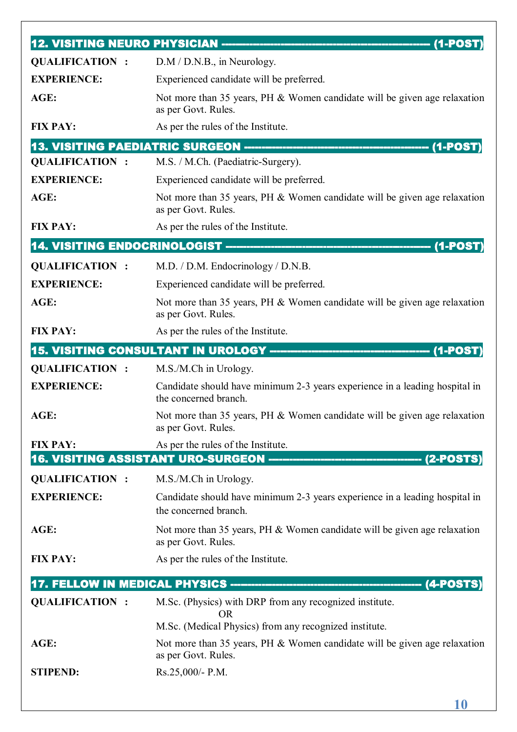| <b>QUALIFICATION:</b>  | $D.M / D.N.B.,$ in Neurology.                                                                        |
|------------------------|------------------------------------------------------------------------------------------------------|
| <b>EXPERIENCE:</b>     | Experienced candidate will be preferred.                                                             |
| AGE:                   | Not more than 35 years, PH & Women candidate will be given age relaxation<br>as per Govt. Rules.     |
| <b>FIX PAY:</b>        | As per the rules of the Institute.                                                                   |
|                        |                                                                                                      |
| <b>QUALIFICATION:</b>  | M.S. / M.Ch. (Paediatric-Surgery).                                                                   |
| <b>EXPERIENCE:</b>     | Experienced candidate will be preferred.                                                             |
| AGE:                   | Not more than 35 years, PH & Women candidate will be given age relaxation<br>as per Govt. Rules.     |
| <b>FIX PAY:</b>        | As per the rules of the Institute.                                                                   |
|                        |                                                                                                      |
| <b>QUALIFICATION:</b>  | M.D. / D.M. Endocrinology / D.N.B.                                                                   |
| <b>EXPERIENCE:</b>     | Experienced candidate will be preferred.                                                             |
| AGE:                   | Not more than 35 years, PH & Women candidate will be given age relaxation<br>as per Govt. Rules.     |
| <b>FIX PAY:</b>        | As per the rules of the Institute.                                                                   |
|                        | 15. VISITING CONSULTANT IN UROLOGY --------------------<br>$(1-POST)$                                |
| <b>QUALIFICATION:</b>  | M.S./M.Ch in Urology.                                                                                |
| <b>EXPERIENCE:</b>     | Candidate should have minimum 2-3 years experience in a leading hospital in<br>the concerned branch. |
| AGE:                   | Not more than 35 years, PH & Women candidate will be given age relaxation<br>as per Govt. Rules.     |
| <b>FIX PAY:</b>        | As per the rules of the Institute.                                                                   |
|                        |                                                                                                      |
| <b>QUALIFICATION:</b>  | M.S./M.Ch in Urology.                                                                                |
| <b>EXPERIENCE:</b>     | Candidate should have minimum 2-3 years experience in a leading hospital in<br>the concerned branch. |
| AGE:                   | Not more than 35 years, PH & Women candidate will be given age relaxation<br>as per Govt. Rules.     |
| <b>FIX PAY:</b>        | As per the rules of the Institute.                                                                   |
|                        |                                                                                                      |
| <b>QUALIFICATION :</b> | M.Sc. (Physics) with DRP from any recognized institute.                                              |
|                        | OR.<br>M.Sc. (Medical Physics) from any recognized institute.                                        |
| AGE:                   | Not more than 35 years, PH & Women candidate will be given age relaxation                            |
|                        | as per Govt. Rules.                                                                                  |
| <b>STIPEND:</b>        | Rs.25,000/- P.M.                                                                                     |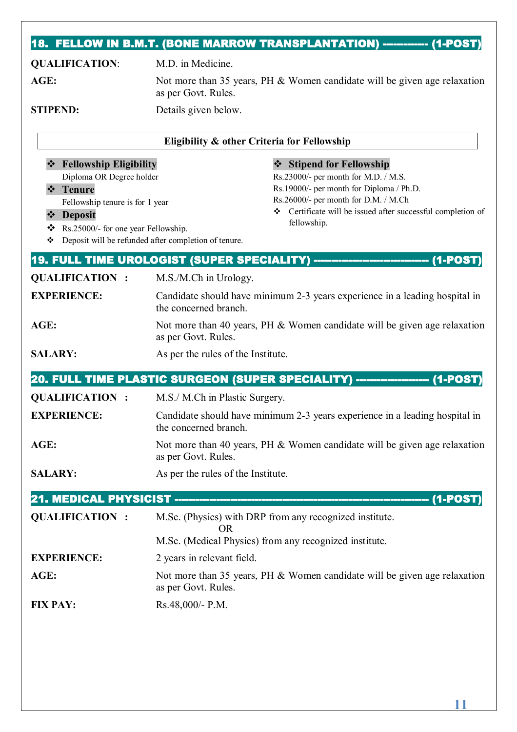## **18. FELLOW IN B.M.T. (BONE MARROW TRANSPLANTATION) ------------ (1-POST)**

| <b>QUALIFICATION:</b>                                                                                                                                                                                              | M.D. in Medicine.                                                                                                                                                                                                                                                                             |
|--------------------------------------------------------------------------------------------------------------------------------------------------------------------------------------------------------------------|-----------------------------------------------------------------------------------------------------------------------------------------------------------------------------------------------------------------------------------------------------------------------------------------------|
| AGE:                                                                                                                                                                                                               | Not more than 35 years, PH & Women candidate will be given age relaxation<br>as per Govt. Rules.                                                                                                                                                                                              |
| <b>STIPEND:</b>                                                                                                                                                                                                    | Details given below.                                                                                                                                                                                                                                                                          |
|                                                                                                                                                                                                                    | Eligibility & other Criteria for Fellowship                                                                                                                                                                                                                                                   |
| <b>Fellowship Eligibility</b><br>Diploma OR Degree holder<br><b>Tenure</b><br>$\frac{1}{2}$<br>Fellowship tenure is for 1 year<br><b>Deposit</b><br>$\frac{1}{2}$<br>Rs.25000/- for one year Fellowship.<br>❖<br>❖ | <b>Stipend for Fellowship</b><br>Rs.23000/- per month for M.D. / M.S.<br>Rs.19000/- per month for Diploma / Ph.D.<br>Rs.26000/- per month for D.M. / M.Ch<br>Certificate will be issued after successful completion of<br>fellowship.<br>Deposit will be refunded after completion of tenure. |
|                                                                                                                                                                                                                    | 19. FULL TIME UROLOGIST (SUPER SPECIALITY) --------------<br>------------------(1-POST)                                                                                                                                                                                                       |
| <b>QUALIFICATION:</b>                                                                                                                                                                                              | M.S./M.Ch in Urology.                                                                                                                                                                                                                                                                         |
| <b>EXPERIENCE:</b>                                                                                                                                                                                                 | Candidate should have minimum 2-3 years experience in a leading hospital in<br>the concerned branch.                                                                                                                                                                                          |
| AGE:                                                                                                                                                                                                               | Not more than 40 years, PH & Women candidate will be given age relaxation<br>as per Govt. Rules.                                                                                                                                                                                              |
| <b>SALARY:</b>                                                                                                                                                                                                     | As per the rules of the Institute.                                                                                                                                                                                                                                                            |
|                                                                                                                                                                                                                    | 20. FULL TIME PLASTIC SURGEON (SUPER SPECIALITY) -------------------- (1-POST)                                                                                                                                                                                                                |
| <b>QUALIFICATION:</b>                                                                                                                                                                                              | M.S./ M.Ch in Plastic Surgery.                                                                                                                                                                                                                                                                |
| <b>EXPERIENCE:</b>                                                                                                                                                                                                 | Candidate should have minimum 2-3 years experience in a leading hospital in<br>the concerned branch.                                                                                                                                                                                          |
| AGE:                                                                                                                                                                                                               | Not more than 40 years, PH & Women candidate will be given age relaxation<br>as per Govt. Rules.                                                                                                                                                                                              |
| <b>SALARY:</b>                                                                                                                                                                                                     | As per the rules of the Institute.                                                                                                                                                                                                                                                            |
|                                                                                                                                                                                                                    |                                                                                                                                                                                                                                                                                               |
| <b>QUALIFICATION:</b>                                                                                                                                                                                              | M.Sc. (Physics) with DRP from any recognized institute.<br><b>OR</b>                                                                                                                                                                                                                          |
|                                                                                                                                                                                                                    | M.Sc. (Medical Physics) from any recognized institute.                                                                                                                                                                                                                                        |
| <b>EXPERIENCE:</b>                                                                                                                                                                                                 | 2 years in relevant field.                                                                                                                                                                                                                                                                    |
| AGE:                                                                                                                                                                                                               | Not more than 35 years, PH & Women candidate will be given age relaxation<br>as per Govt. Rules.                                                                                                                                                                                              |
| <b>FIX PAY:</b>                                                                                                                                                                                                    | Rs.48,000/- P.M.                                                                                                                                                                                                                                                                              |

**11**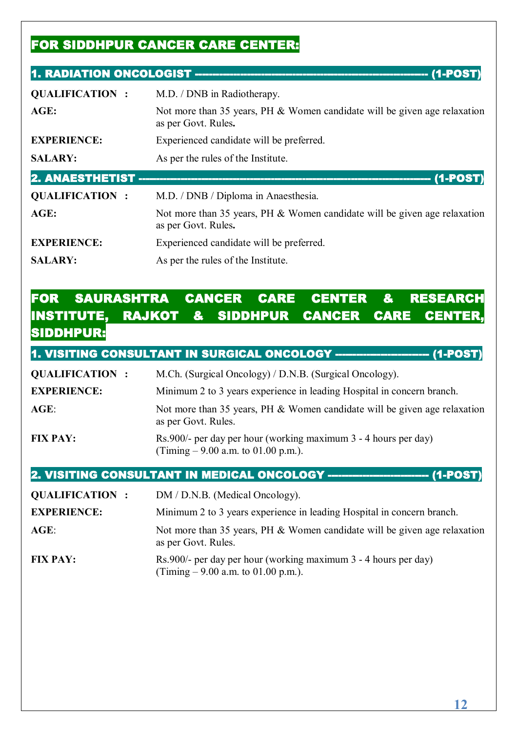## **FOR SIDDHPUR CANCER CARE CENTER:**

#### **1. RADIATION ONCOLOGIST ------------------------------------------------------------------- (1-POST)**

| <b>QUALIFICATION:</b>  | M.D. / DNB in Radiotherapy.                                                                      |
|------------------------|--------------------------------------------------------------------------------------------------|
| AGE:                   | Not more than 35 years, PH & Women candidate will be given age relaxation<br>as per Govt. Rules. |
| <b>EXPERIENCE:</b>     | Experienced candidate will be preferred.                                                         |
| <b>SALARY:</b>         | As per the rules of the Institute.                                                               |
| <b>2. ANAESTHETIST</b> | $(1-POST)$                                                                                       |
| <b>QUALIFICATION:</b>  | M.D. / DNB / Diploma in Anaesthesia.                                                             |
| AGE:                   | Not more than 35 years, PH & Women candidate will be given age relaxation<br>as per Govt. Rules. |
| <b>EXPERIENCE:</b>     | Experienced candidate will be preferred.                                                         |
| <b>SALARY:</b>         | As per the rules of the Institute.                                                               |

### **FOR SAURASHTRA CANCER CARE CENTER & RESEARCH INSTITUTE, RAJKOT & SIDDHPUR CANCER CARE CENT SIDDHPUR:**

**1. VISITING CONSULTANT IN SURGICAL ONCOLOGY ------------------------ (1-POST** 

| <b>QUALIFICATION:</b> | M.Ch. (Surgical Oncology) / D.N.B. (Surgical Oncology).                                                 |
|-----------------------|---------------------------------------------------------------------------------------------------------|
| <b>EXPERIENCE:</b>    | Minimum 2 to 3 years experience in leading Hospital in concern branch.                                  |
| $\mathbf{AGE}$ :      | Not more than 35 years, PH & Women candidate will be given age relaxation<br>as per Govt. Rules.        |
| <b>FIX PAY:</b>       | Rs.900/- per day per hour (working maximum 3 - 4 hours per day)<br>(Timing $-9.00$ a.m. to 01.00 p.m.). |

**2. VISITING CONSULTANT IN MEDICAL ONCOLOGY ----------------------------- (1-POST)** 

**QUALIFICATION :** DM / D.N.B. (Medical Oncology).

**EXPERIENCE:** Minimum 2 to 3 years experience in leading Hospital in concern branch.

- AGE: Not more than 35 years, PH & Women candidate will be given age relaxation as per Govt. Rules.
- **FIX PAY:** Rs.900/- per day per hour (working maximum 3 4 hours per day) (Timing  $-9.00$  a.m. to 01.00 p.m.).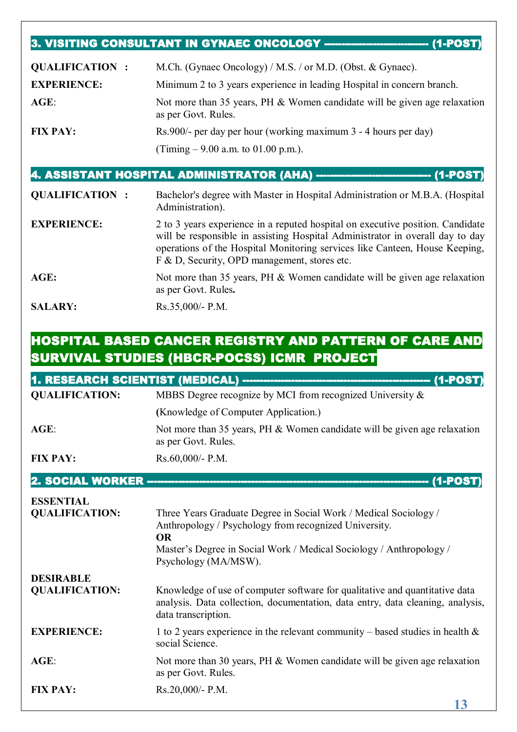#### **3. VISITING CONSULTANT IN GYNAEC ONCOLOGY ------------------------------ (1-POST)**

| <b>QUALIFICATION:</b> | M.Ch. (Gynaec Oncology) / M.S. / or M.D. (Obst. & Gynaec).                                       |
|-----------------------|--------------------------------------------------------------------------------------------------|
| <b>EXPERIENCE:</b>    | Minimum 2 to 3 years experience in leading Hospital in concern branch.                           |
| $AGE$ :               | Not more than 35 years, PH & Women candidate will be given age relaxation<br>as per Govt. Rules. |
| <b>FIX PAY:</b>       | Rs.900/- per day per hour (working maximum 3 - 4 hours per day)                                  |
|                       | (Timing $-9.00$ a.m. to 01.00 p.m.).                                                             |

#### **4. ASSISTANT HOSPITAL ADMINISTRATOR (AHA) --------------------------------- (1-POST)**

| <b>QUALIFICATION:</b> | Bachelor's degree with Master in Hospital Administration or M.B.A. (Hospital<br>Administration).                                                                                                                                                                                               |
|-----------------------|------------------------------------------------------------------------------------------------------------------------------------------------------------------------------------------------------------------------------------------------------------------------------------------------|
| <b>EXPERIENCE:</b>    | 2 to 3 years experience in a reputed hospital on executive position. Candidate<br>will be responsible in assisting Hospital Administrator in overall day to day<br>operations of the Hospital Monitoring services like Canteen, House Keeping,<br>F & D, Security, OPD management, stores etc. |
| AGE:                  | Not more than 35 years, PH & Women candidate will be given age relaxation<br>as per Govt. Rules.                                                                                                                                                                                               |
| <b>SALARY:</b>        | $Rs.35,000/- P.M.$                                                                                                                                                                                                                                                                             |

## **HOSPITAL BASED CANCER REGISTRY AND PATTERN OF CARE AND SURVIVAL STUDIES (HBCR-POCSS) ICMR PROJECT**

|                                  | 1. RESEARCH SCIENTIST (MEDICAL) ---------------------------<br>$(1-POST)$                                                                                                            |
|----------------------------------|--------------------------------------------------------------------------------------------------------------------------------------------------------------------------------------|
| <b>QUALIFICATION:</b>            | MBBS Degree recognize by MCI from recognized University &                                                                                                                            |
|                                  | (Knowledge of Computer Application.)                                                                                                                                                 |
| AGE:                             | Not more than 35 years, PH $&$ Women candidate will be given age relaxation<br>as per Govt. Rules.                                                                                   |
| <b>FIX PAY:</b>                  | Rs.60,000/- P.M.                                                                                                                                                                     |
| <b>2. SOCIAL WORKER --------</b> | (1-POST                                                                                                                                                                              |
| <b>ESSENTIAL</b>                 |                                                                                                                                                                                      |
| <b>QUALIFICATION:</b>            | Three Years Graduate Degree in Social Work / Medical Sociology /<br>Anthropology / Psychology from recognized University.<br><b>OR</b>                                               |
|                                  | Master's Degree in Social Work / Medical Sociology / Anthropology /<br>Psychology (MA/MSW).                                                                                          |
| <b>DESIRABLE</b>                 |                                                                                                                                                                                      |
| <b>QUALIFICATION:</b>            | Knowledge of use of computer software for qualitative and quantitative data<br>analysis. Data collection, documentation, data entry, data cleaning, analysis,<br>data transcription. |
| <b>EXPERIENCE:</b>               | 1 to 2 years experience in the relevant community – based studies in health $\&$<br>social Science.                                                                                  |
| $AGE$ :                          | Not more than 30 years, PH & Women candidate will be given age relaxation<br>as per Govt. Rules.                                                                                     |
| <b>FIX PAY:</b>                  | Rs.20,000/- P.M.                                                                                                                                                                     |
|                                  | 10                                                                                                                                                                                   |